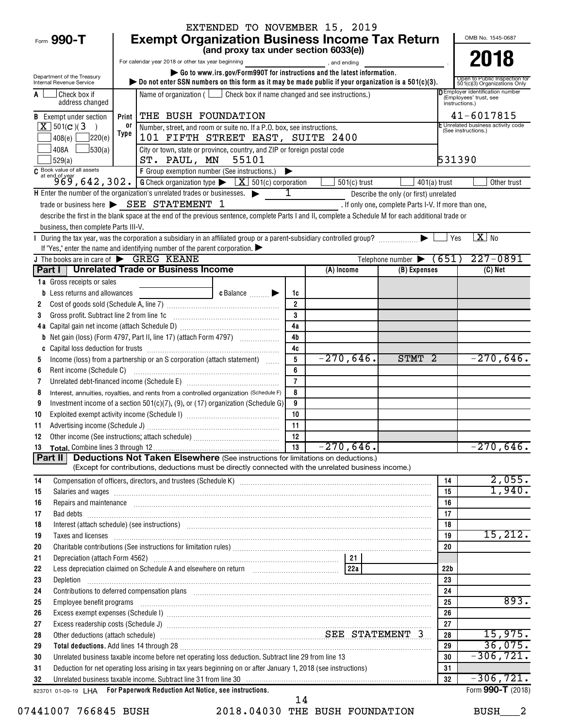| EXTENDED TO NOVEMBER 15, 2019                                                                                                                                                                                                              |                                                                                                                                                                                   |                                                                                                                                                                                                                                           |           |                |                |                                                      |                 |                                                                              |                                                               |  |
|--------------------------------------------------------------------------------------------------------------------------------------------------------------------------------------------------------------------------------------------|-----------------------------------------------------------------------------------------------------------------------------------------------------------------------------------|-------------------------------------------------------------------------------------------------------------------------------------------------------------------------------------------------------------------------------------------|-----------|----------------|----------------|------------------------------------------------------|-----------------|------------------------------------------------------------------------------|---------------------------------------------------------------|--|
| Form 990-T                                                                                                                                                                                                                                 | <b>Exempt Organization Business Income Tax Return</b><br>OMB No. 1545-0687                                                                                                        |                                                                                                                                                                                                                                           |           |                |                |                                                      |                 |                                                                              |                                                               |  |
|                                                                                                                                                                                                                                            | (and proxy tax under section 6033(e))                                                                                                                                             |                                                                                                                                                                                                                                           |           |                |                |                                                      |                 |                                                                              | 2018                                                          |  |
|                                                                                                                                                                                                                                            | For calendar year 2018 or other tax year beginning<br>, and ending                                                                                                                |                                                                                                                                                                                                                                           |           |                |                |                                                      |                 |                                                                              |                                                               |  |
| Department of the Treasury<br>Internal Revenue Service                                                                                                                                                                                     | Go to www.irs.gov/Form990T for instructions and the latest information.<br>bo not enter SSN numbers on this form as it may be made public if your organization is a $501(c)(3)$ . |                                                                                                                                                                                                                                           |           |                |                |                                                      |                 |                                                                              | Open to Public Inspection for<br>501(c)(3) Organizations Only |  |
| Check box if<br>address changed                                                                                                                                                                                                            |                                                                                                                                                                                   | Name of organization ( $\Box$ Check box if name changed and see instructions.)                                                                                                                                                            |           |                |                |                                                      |                 | D Employer identification number<br>(Employees' trust, see<br>instructions.) |                                                               |  |
| <b>B</b> Exempt under section                                                                                                                                                                                                              | Print                                                                                                                                                                             | THE BUSH FOUNDATION                                                                                                                                                                                                                       |           |                |                |                                                      |                 | 41-6017815                                                                   |                                                               |  |
| $X$ 501(c)(3)<br>$\rightarrow$                                                                                                                                                                                                             | 0ľ                                                                                                                                                                                | Number, street, and room or suite no. If a P.O. box, see instructions.                                                                                                                                                                    |           |                |                |                                                      |                 | E Unrelated business activity code<br>(See instructions.)                    |                                                               |  |
| $\sqrt{220(e)}$<br>408(e)                                                                                                                                                                                                                  | Type                                                                                                                                                                              | 101 FIFTH STREET EAST, SUITE 2400                                                                                                                                                                                                         |           |                |                |                                                      |                 |                                                                              |                                                               |  |
| $\frac{1}{30(a)}$<br>408A<br>529(a)                                                                                                                                                                                                        | City or town, state or province, country, and ZIP or foreign postal code<br>531390<br>ST. PAUL, MN 55101                                                                          |                                                                                                                                                                                                                                           |           |                |                |                                                      |                 |                                                                              |                                                               |  |
|                                                                                                                                                                                                                                            |                                                                                                                                                                                   |                                                                                                                                                                                                                                           |           |                |                |                                                      |                 |                                                                              |                                                               |  |
| C Book value of all assets<br>$969, 642, 302.$ G Check organization type $\sqrt{\frac{X}{X}}$ 501(c) corporation                                                                                                                           |                                                                                                                                                                                   |                                                                                                                                                                                                                                           |           |                | $501(c)$ trust | $401(a)$ trust                                       |                 |                                                                              | Other trust                                                   |  |
| H Enter the number of the organization's unrelated trades or businesses.                                                                                                                                                                   |                                                                                                                                                                                   |                                                                                                                                                                                                                                           |           | 1              |                | Describe the only (or first) unrelated               |                 |                                                                              |                                                               |  |
|                                                                                                                                                                                                                                            |                                                                                                                                                                                   | trade or business here $\triangleright$ SEE STATEMENT 1                                                                                                                                                                                   |           |                |                | . If only one, complete Parts I-V. If more than one, |                 |                                                                              |                                                               |  |
|                                                                                                                                                                                                                                            |                                                                                                                                                                                   | describe the first in the blank space at the end of the previous sentence, complete Parts I and II, complete a Schedule M for each additional trade or                                                                                    |           |                |                |                                                      |                 |                                                                              |                                                               |  |
| business, then complete Parts III-V.                                                                                                                                                                                                       |                                                                                                                                                                                   |                                                                                                                                                                                                                                           |           |                |                |                                                      |                 |                                                                              |                                                               |  |
|                                                                                                                                                                                                                                            |                                                                                                                                                                                   | During the tax year, was the corporation a subsidiary in an affiliated group or a parent-subsidiary controlled group?                                                                                                                     |           |                |                |                                                      | Yes             |                                                                              | $\overline{X}$ No                                             |  |
| J The books are in care of SREG KEANE                                                                                                                                                                                                      |                                                                                                                                                                                   | If "Yes," enter the name and identifying number of the parent corporation.                                                                                                                                                                |           |                |                | Telephone number $\triangleright$ (651)              |                 |                                                                              | $227 - 0891$                                                  |  |
| Part I   Unrelated Trade or Business Income                                                                                                                                                                                                |                                                                                                                                                                                   |                                                                                                                                                                                                                                           |           |                | (A) Income     | (B) Expenses                                         |                 |                                                                              | (C) Net                                                       |  |
| 1a Gross receipts or sales                                                                                                                                                                                                                 |                                                                                                                                                                                   |                                                                                                                                                                                                                                           |           |                |                |                                                      |                 |                                                                              |                                                               |  |
| Less returns and allowances                                                                                                                                                                                                                |                                                                                                                                                                                   |                                                                                                                                                                                                                                           | c Balance | 1c             |                |                                                      |                 |                                                                              |                                                               |  |
| 2                                                                                                                                                                                                                                          |                                                                                                                                                                                   |                                                                                                                                                                                                                                           |           | $\overline{2}$ |                |                                                      |                 |                                                                              |                                                               |  |
| Gross profit. Subtract line 2 from line 1c<br>3                                                                                                                                                                                            |                                                                                                                                                                                   |                                                                                                                                                                                                                                           |           | 3              |                |                                                      |                 |                                                                              |                                                               |  |
| 4 a                                                                                                                                                                                                                                        |                                                                                                                                                                                   |                                                                                                                                                                                                                                           |           | 4a             |                |                                                      |                 |                                                                              |                                                               |  |
| b                                                                                                                                                                                                                                          |                                                                                                                                                                                   |                                                                                                                                                                                                                                           |           | 4 <sub>b</sub> |                |                                                      |                 |                                                                              |                                                               |  |
|                                                                                                                                                                                                                                            |                                                                                                                                                                                   |                                                                                                                                                                                                                                           |           | 4c             |                |                                                      |                 |                                                                              |                                                               |  |
| 5                                                                                                                                                                                                                                          |                                                                                                                                                                                   | Income (loss) from a partnership or an S corporation (attach statement)                                                                                                                                                                   |           | 5              | $-270,646$ .   | STMT 2                                               |                 |                                                                              | $-270,646.$                                                   |  |
| 6                                                                                                                                                                                                                                          | 6<br>Rent income (Schedule C)                                                                                                                                                     |                                                                                                                                                                                                                                           |           |                |                |                                                      |                 |                                                                              |                                                               |  |
| 7                                                                                                                                                                                                                                          |                                                                                                                                                                                   |                                                                                                                                                                                                                                           |           | $\overline{7}$ |                |                                                      |                 |                                                                              |                                                               |  |
| 8                                                                                                                                                                                                                                          |                                                                                                                                                                                   | Interest, annuities, royalties, and rents from a controlled organization (Schedule F)                                                                                                                                                     |           | 8              |                |                                                      |                 |                                                                              |                                                               |  |
| 9                                                                                                                                                                                                                                          |                                                                                                                                                                                   | Investment income of a section $501(c)(7)$ , (9), or (17) organization (Schedule G)                                                                                                                                                       |           | 9              |                |                                                      |                 |                                                                              |                                                               |  |
| 10                                                                                                                                                                                                                                         |                                                                                                                                                                                   |                                                                                                                                                                                                                                           |           | 10             |                |                                                      |                 |                                                                              |                                                               |  |
| 11                                                                                                                                                                                                                                         |                                                                                                                                                                                   |                                                                                                                                                                                                                                           |           | 11<br>12       |                |                                                      |                 |                                                                              |                                                               |  |
| 12                                                                                                                                                                                                                                         |                                                                                                                                                                                   |                                                                                                                                                                                                                                           |           |                | $-270,646.$    |                                                      |                 |                                                                              | $-270,646.$                                                   |  |
| Part II                                                                                                                                                                                                                                    |                                                                                                                                                                                   | <b>Deductions Not Taken Elsewhere</b> (See instructions for limitations on deductions.)                                                                                                                                                   |           |                |                |                                                      |                 |                                                                              |                                                               |  |
|                                                                                                                                                                                                                                            |                                                                                                                                                                                   | (Except for contributions, deductions must be directly connected with the unrelated business income.)                                                                                                                                     |           |                |                |                                                      |                 |                                                                              |                                                               |  |
| 14                                                                                                                                                                                                                                         |                                                                                                                                                                                   |                                                                                                                                                                                                                                           |           |                |                |                                                      | 14              |                                                                              | 2,055.                                                        |  |
| 15                                                                                                                                                                                                                                         |                                                                                                                                                                                   |                                                                                                                                                                                                                                           |           |                |                |                                                      | 15              |                                                                              | 1,940.                                                        |  |
| 16                                                                                                                                                                                                                                         |                                                                                                                                                                                   | Repairs and maintenance <i>maintenance</i> and construction of the construction of the construction of the construction of the construction of the construction of the construction of the construction of the construction of the        |           |                |                |                                                      | 16              |                                                                              |                                                               |  |
| 17                                                                                                                                                                                                                                         |                                                                                                                                                                                   |                                                                                                                                                                                                                                           |           |                |                |                                                      | 17              |                                                                              |                                                               |  |
| 18                                                                                                                                                                                                                                         |                                                                                                                                                                                   | Interest (attach schedule) (see instructions) www.communications.communications are interest (attach schedule)                                                                                                                            |           |                |                |                                                      | 18              |                                                                              |                                                               |  |
| 19                                                                                                                                                                                                                                         |                                                                                                                                                                                   | Taxes and licenses <b>commissions</b> and licenses <b>contract the contract of the contract of the contract of the contract of the contract of the contract of the contract of the contract of the contract of the contract of the co</b> |           |                |                |                                                      | 19              |                                                                              | 15,212.                                                       |  |
| 20                                                                                                                                                                                                                                         |                                                                                                                                                                                   |                                                                                                                                                                                                                                           |           |                |                |                                                      | 20              |                                                                              |                                                               |  |
| 21                                                                                                                                                                                                                                         |                                                                                                                                                                                   |                                                                                                                                                                                                                                           |           |                |                |                                                      |                 |                                                                              |                                                               |  |
| 22                                                                                                                                                                                                                                         |                                                                                                                                                                                   |                                                                                                                                                                                                                                           |           |                |                |                                                      | 22 <sub>b</sub> |                                                                              |                                                               |  |
| 23<br>Depletion                                                                                                                                                                                                                            |                                                                                                                                                                                   |                                                                                                                                                                                                                                           |           |                |                |                                                      | 23<br>24        |                                                                              |                                                               |  |
| Contributions to deferred compensation plans [11] manufactured manufactured manufactured manufactured manufactured manufactured manufactured manufactured manufactured manufactured manufactured manufactured manufactured man<br>24<br>25 |                                                                                                                                                                                   |                                                                                                                                                                                                                                           |           |                |                |                                                      | 25              |                                                                              | 893.                                                          |  |
| Employee benefit programs in the committee of the contract of the contract of the contract of the contract of the contract of the contract of the contract of the contract of the contract of the contract of the contract of<br>26        |                                                                                                                                                                                   |                                                                                                                                                                                                                                           |           |                |                |                                                      | 26              |                                                                              |                                                               |  |
| 27                                                                                                                                                                                                                                         |                                                                                                                                                                                   |                                                                                                                                                                                                                                           |           |                |                |                                                      | 27              |                                                                              |                                                               |  |
| Other deductions (attach schedule) Material According SEE STATEMENT 3<br>28                                                                                                                                                                |                                                                                                                                                                                   |                                                                                                                                                                                                                                           |           |                |                |                                                      | 28              |                                                                              | 15,975.                                                       |  |
| 29                                                                                                                                                                                                                                         |                                                                                                                                                                                   |                                                                                                                                                                                                                                           |           |                |                |                                                      | 29              |                                                                              | 36,075.                                                       |  |
| 30                                                                                                                                                                                                                                         |                                                                                                                                                                                   | Unrelated business taxable income before net operating loss deduction. Subtract line 29 from line 13                                                                                                                                      |           |                |                |                                                      | 30              |                                                                              | $-306, 721.$                                                  |  |
| 31                                                                                                                                                                                                                                         |                                                                                                                                                                                   | Deduction for net operating loss arising in tax years beginning on or after January 1, 2018 (see instructions)                                                                                                                            |           |                |                |                                                      | 31              |                                                                              |                                                               |  |
| 32                                                                                                                                                                                                                                         |                                                                                                                                                                                   | Unrelated business taxable income. Subtract line 31 from line 30 [11] contains and the manufacture of the state of the state of the state of the state of the state of the state of the state of the state of the state of the            |           |                |                |                                                      | 32              |                                                                              | $-306, 721.$                                                  |  |
| 823701 01-09-19 LHA For Paperwork Reduction Act Notice, see instructions.                                                                                                                                                                  |                                                                                                                                                                                   |                                                                                                                                                                                                                                           |           |                |                |                                                      |                 |                                                                              | Form 990-T (2018)                                             |  |
|                                                                                                                                                                                                                                            |                                                                                                                                                                                   |                                                                                                                                                                                                                                           |           | 14             |                |                                                      |                 |                                                                              |                                                               |  |

07441007 766845 BUSH 2018.04030 THE BUSH FOUNDATION BUSH 2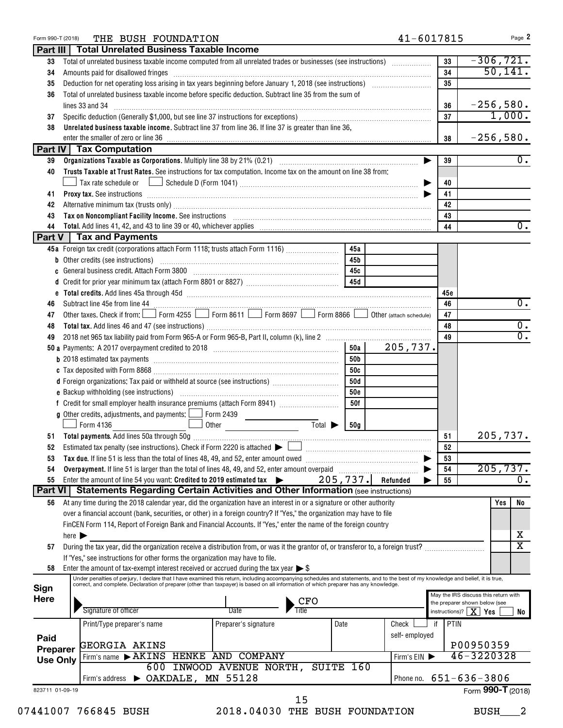| Form 990-T (2018) |                            | THE BUSH FOUNDATION                                                                                                                                                                                                            |                                |                             |            |               | 41-6017815 | Page 2                                                                |
|-------------------|----------------------------|--------------------------------------------------------------------------------------------------------------------------------------------------------------------------------------------------------------------------------|--------------------------------|-----------------------------|------------|---------------|------------|-----------------------------------------------------------------------|
| Part III          |                            | <b>Total Unrelated Business Taxable Income</b>                                                                                                                                                                                 |                                |                             |            |               |            |                                                                       |
| 33                |                            | Total of unrelated business taxable income computed from all unrelated trades or businesses (see instructions)                                                                                                                 |                                |                             |            |               | 33         | $-306, 721.$                                                          |
| 34                |                            | Amounts paid for disallowed fringes [11] Amount of the contract of the state of the state of the state of the state of the state of the state of the state of the state of the state of the state of the state of the state of |                                |                             |            |               | 34         | 50, 141.                                                              |
| 35                |                            |                                                                                                                                                                                                                                |                                |                             |            |               | 35         |                                                                       |
| 36                |                            | Total of unrelated business taxable income before specific deduction. Subtract line 35 from the sum of                                                                                                                         |                                |                             |            |               |            |                                                                       |
|                   |                            | lines 33 and 34                                                                                                                                                                                                                | 36                             | $-256,580.$                 |            |               |            |                                                                       |
| 37                |                            |                                                                                                                                                                                                                                |                                |                             |            |               | 37         | 1,000.                                                                |
| 38                |                            | Unrelated business taxable income. Subtract line 37 from line 36. If line 37 is greater than line 36,                                                                                                                          |                                |                             |            |               |            |                                                                       |
|                   |                            |                                                                                                                                                                                                                                |                                |                             |            |               | 38         | $-256,580.$                                                           |
|                   |                            | Part IV Tax Computation                                                                                                                                                                                                        |                                |                             |            |               |            |                                                                       |
| 39                |                            |                                                                                                                                                                                                                                |                                |                             |            |               | ▶<br>39    | $\overline{0}$ .                                                      |
| 40                |                            | Trusts Taxable at Trust Rates. See instructions for tax computation. Income tax on the amount on line 38 from:                                                                                                                 |                                |                             |            |               |            |                                                                       |
|                   |                            |                                                                                                                                                                                                                                |                                |                             |            |               | 40<br>▶    |                                                                       |
| 41                |                            | <b>Proxy tax.</b> See instructions <b>constructions b</b>                                                                                                                                                                      |                                |                             |            |               | 41         |                                                                       |
| 42                |                            |                                                                                                                                                                                                                                |                                |                             |            |               | 42         |                                                                       |
| 43                |                            | Alternative minimum tax (trusts only) [11] matter control and the control of the state of the state of the state only                                                                                                          |                                |                             |            |               | 43         |                                                                       |
| 44                |                            | Tax on Noncompliant Facility Income. See instructions [11] Martin Martin Martin Martin Martin Martin Martin Ma                                                                                                                 |                                |                             |            |               | 44         | $\overline{0}$ .                                                      |
|                   |                            | Part V   Tax and Payments                                                                                                                                                                                                      |                                |                             |            |               |            |                                                                       |
|                   |                            |                                                                                                                                                                                                                                |                                |                             | 45a        |               |            |                                                                       |
|                   |                            | 45a Foreign tax credit (corporations attach Form 1118; trusts attach Form 1116)                                                                                                                                                |                                |                             | 45b        |               |            |                                                                       |
|                   |                            |                                                                                                                                                                                                                                |                                |                             |            |               |            |                                                                       |
| C                 |                            | General business credit. Attach Form 3800 [11] [11] Contract the substitution of the set of the set of the set of the set of the set of the set of the set of the set of the set of the set of the set of the set of the set o |                                |                             | 45с        |               |            |                                                                       |
|                   |                            |                                                                                                                                                                                                                                |                                |                             | 45d        |               |            |                                                                       |
|                   |                            |                                                                                                                                                                                                                                |                                |                             |            |               | 45c        |                                                                       |
| 46                |                            | Subtract line 45e from line 44                                                                                                                                                                                                 |                                |                             |            |               | 46         | $\overline{0}$ .                                                      |
| 47                |                            | Other taxes. Check if from: Form 4255 Form 8611 Form 8697 Form 8866 Obther (attach schedule)                                                                                                                                   |                                |                             |            |               | 47         | $\overline{0}$ .                                                      |
| 48                |                            |                                                                                                                                                                                                                                |                                |                             |            |               | 48         | $\overline{0}$ .                                                      |
| 49                |                            |                                                                                                                                                                                                                                |                                |                             |            |               | 49         |                                                                       |
|                   |                            |                                                                                                                                                                                                                                |                                |                             | 50a        | 205,737.      |            |                                                                       |
|                   |                            |                                                                                                                                                                                                                                |                                |                             | 50b        |               |            |                                                                       |
|                   |                            |                                                                                                                                                                                                                                |                                |                             | 50c        |               |            |                                                                       |
|                   |                            | d Foreign organizations: Tax paid or withheld at source (see instructions) [                                                                                                                                                   |                                |                             | 50d        |               |            |                                                                       |
|                   |                            |                                                                                                                                                                                                                                |                                |                             | <b>50e</b> |               |            |                                                                       |
|                   |                            |                                                                                                                                                                                                                                |                                |                             | 50f        |               |            |                                                                       |
|                   |                            | <b>g</b> Other credits, adjustments, and payments: $\Box$                                                                                                                                                                      | Form 2439                      |                             |            |               |            |                                                                       |
|                   |                            | Form 4136                                                                                                                                                                                                                      | Other                          | Total $\blacktriangleright$ | 50g        |               |            |                                                                       |
| 51                |                            |                                                                                                                                                                                                                                |                                |                             |            |               | 51         | 205,737.                                                              |
|                   |                            |                                                                                                                                                                                                                                |                                |                             |            |               | 52         |                                                                       |
| 53                |                            | Tax due. If line 51 is less than the total of lines 48, 49, and 52, enter amount owed <i>manumeral infine 51</i> is less than the total of lines 48, 49, and 52, enter amount owed                                             |                                |                             |            |               | 53         |                                                                       |
| 54                |                            | Overpayment. If line 51 is larger than the total of lines 48, 49, and 52, enter amount overpaid                                                                                                                                |                                |                             |            |               | 54         | 205, 737.                                                             |
| 55                |                            | Enter the amount of line 54 you want: Credited to 2019 estimated tax                                                                                                                                                           |                                |                             | 205, 737.  | Refunded      | 55         | $\overline{0}$ .                                                      |
| Part VI           |                            | <b>Statements Regarding Certain Activities and Other Information (see instructions)</b>                                                                                                                                        |                                |                             |            |               |            |                                                                       |
| 56                |                            | At any time during the 2018 calendar year, did the organization have an interest in or a signature or other authority                                                                                                          |                                |                             |            |               |            | Yes<br>No                                                             |
|                   |                            | over a financial account (bank, securities, or other) in a foreign country? If "Yes," the organization may have to file                                                                                                        |                                |                             |            |               |            |                                                                       |
|                   |                            | FinCEN Form 114, Report of Foreign Bank and Financial Accounts. If "Yes," enter the name of the foreign country                                                                                                                |                                |                             |            |               |            |                                                                       |
|                   | here $\blacktriangleright$ |                                                                                                                                                                                                                                |                                |                             |            |               |            | х                                                                     |
| 57                |                            | During the tax year, did the organization receive a distribution from, or was it the grantor of, or transferor to, a foreign trust?                                                                                            |                                |                             |            |               |            | $\overline{\mathtt{x}}$                                               |
|                   |                            | If "Yes," see instructions for other forms the organization may have to file.                                                                                                                                                  |                                |                             |            |               |            |                                                                       |
| 58                |                            | Enter the amount of tax-exempt interest received or accrued during the tax year $\triangleright$ \$                                                                                                                            |                                |                             |            |               |            |                                                                       |
|                   |                            | Under penalties of perjury, I declare that I have examined this return, including accompanying schedules and statements, and to the best of my knowledge and belief, it is true,                                               |                                |                             |            |               |            |                                                                       |
| Sign              |                            | correct, and complete. Declaration of preparer (other than taxpayer) is based on all information of which preparer has any knowledge.                                                                                          |                                |                             |            |               |            |                                                                       |
| Here              |                            |                                                                                                                                                                                                                                |                                | CFO                         |            |               |            | May the IRS discuss this return with<br>the preparer shown below (see |
|                   |                            | Signature of officer                                                                                                                                                                                                           | Date                           | Title                       |            |               |            | instructions)? $\mid X \mid Yes$                                      |
|                   |                            | Print/Type preparer's name                                                                                                                                                                                                     | Preparer's signature           |                             | Date       | Check         | PTIN<br>if | No                                                                    |
|                   |                            |                                                                                                                                                                                                                                |                                |                             |            | self-employed |            |                                                                       |
| Paid              |                            | <b>GEORGIA AKINS</b>                                                                                                                                                                                                           |                                |                             |            |               |            | P00950359                                                             |
| Preparer          |                            | Firm's name FAKINS HENKE AND COMPANY                                                                                                                                                                                           |                                |                             |            | Firm's EIN    |            | $46 - 3220328$                                                        |
| <b>Use Only</b>   |                            |                                                                                                                                                                                                                                | 600 INWOOD AVENUE NORTH,       | <b>SUITE</b>                | 160        |               |            |                                                                       |
|                   |                            | Firm's address > OAKDALE, MN 55128                                                                                                                                                                                             |                                |                             |            |               |            | Phone no. 651-636-3806                                                |
| 823711 01-09-19   |                            |                                                                                                                                                                                                                                |                                |                             |            |               |            | Form 990-T (2018)                                                     |
|                   |                            |                                                                                                                                                                                                                                |                                | 15                          |            |               |            |                                                                       |
|                   |                            | 07441007 766845 BUSH                                                                                                                                                                                                           | 2018.04030 THE BUSH FOUNDATION |                             |            |               |            | <b>BUSH</b>                                                           |
|                   |                            |                                                                                                                                                                                                                                |                                |                             |            |               |            |                                                                       |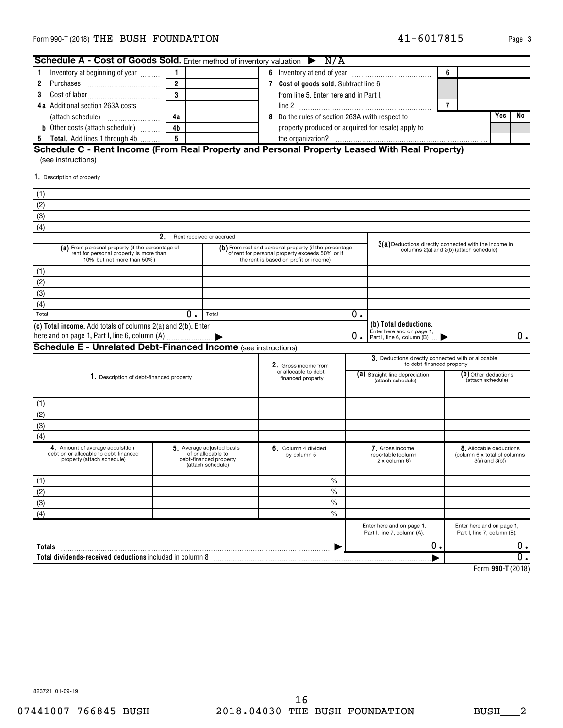## Form 990-T (2018)  $\bf{THE}$   $\bf{BUSH}$   $\bf{FOUNDATION}$  and  $\bf{A1-6017815}$  and  $\bf{Page}$

| <b>Schedule A - Cost of Goods Sold.</b> Enter method of inventory valuation $\triangleright$ N/A                                                                                                         |                                                                                                                                                     |                                    |                                               |                                                                                                    |                                                                                                     |                                                                                  |                   |                                                          |               |    |  |  |  |
|----------------------------------------------------------------------------------------------------------------------------------------------------------------------------------------------------------|-----------------------------------------------------------------------------------------------------------------------------------------------------|------------------------------------|-----------------------------------------------|----------------------------------------------------------------------------------------------------|-----------------------------------------------------------------------------------------------------|----------------------------------------------------------------------------------|-------------------|----------------------------------------------------------|---------------|----|--|--|--|
| Inventory at beginning of year<br>1                                                                                                                                                                      | 1                                                                                                                                                   |                                    |                                               |                                                                                                    |                                                                                                     |                                                                                  | 6                 |                                                          |               |    |  |  |  |
| 2                                                                                                                                                                                                        | $\overline{2}$                                                                                                                                      |                                    |                                               | 7 Cost of goods sold. Subtract line 6                                                              |                                                                                                     |                                                                                  |                   |                                                          |               |    |  |  |  |
| 3                                                                                                                                                                                                        | 3                                                                                                                                                   |                                    | from line 5. Enter here and in Part I.        |                                                                                                    |                                                                                                     |                                                                                  |                   |                                                          |               |    |  |  |  |
| 4a Additional section 263A costs                                                                                                                                                                         |                                                                                                                                                     |                                    | 7                                             |                                                                                                    |                                                                                                     |                                                                                  |                   |                                                          |               |    |  |  |  |
|                                                                                                                                                                                                          | 4a                                                                                                                                                  |                                    | 8                                             |                                                                                                    |                                                                                                     |                                                                                  |                   |                                                          | Yes           | No |  |  |  |
| (attach schedule)<br><b>b</b> Other costs (attach schedule)                                                                                                                                              | 4b                                                                                                                                                  |                                    |                                               |                                                                                                    | Do the rules of section 263A (with respect to<br>property produced or acquired for resale) apply to |                                                                                  |                   |                                                          |               |    |  |  |  |
| 5 Total. Add lines 1 through 4b                                                                                                                                                                          | 5                                                                                                                                                   |                                    |                                               |                                                                                                    |                                                                                                     |                                                                                  |                   |                                                          |               |    |  |  |  |
| Schedule C - Rent Income (From Real Property and Personal Property Leased With Real Property)                                                                                                            |                                                                                                                                                     |                                    |                                               |                                                                                                    |                                                                                                     |                                                                                  |                   |                                                          |               |    |  |  |  |
| (see instructions)                                                                                                                                                                                       |                                                                                                                                                     |                                    |                                               |                                                                                                    |                                                                                                     |                                                                                  |                   |                                                          |               |    |  |  |  |
|                                                                                                                                                                                                          |                                                                                                                                                     |                                    |                                               |                                                                                                    |                                                                                                     |                                                                                  |                   |                                                          |               |    |  |  |  |
| 1. Description of property                                                                                                                                                                               |                                                                                                                                                     |                                    |                                               |                                                                                                    |                                                                                                     |                                                                                  |                   |                                                          |               |    |  |  |  |
| (1)                                                                                                                                                                                                      |                                                                                                                                                     |                                    |                                               |                                                                                                    |                                                                                                     |                                                                                  |                   |                                                          |               |    |  |  |  |
| (2)                                                                                                                                                                                                      |                                                                                                                                                     |                                    |                                               |                                                                                                    |                                                                                                     |                                                                                  |                   |                                                          |               |    |  |  |  |
| (3)                                                                                                                                                                                                      |                                                                                                                                                     |                                    |                                               |                                                                                                    |                                                                                                     |                                                                                  |                   |                                                          |               |    |  |  |  |
| (4)                                                                                                                                                                                                      |                                                                                                                                                     |                                    |                                               |                                                                                                    |                                                                                                     |                                                                                  |                   |                                                          |               |    |  |  |  |
|                                                                                                                                                                                                          | 2.                                                                                                                                                  | Rent received or accrued           |                                               |                                                                                                    |                                                                                                     |                                                                                  |                   |                                                          |               |    |  |  |  |
| (a) From personal property (if the percentage of<br>rent for personal property is more than<br>10% but not more than 50%)                                                                                | (b) From real and personal property (if the percentage<br>of rent for personal property exceeds 50% or if<br>the rent is based on profit or income) |                                    |                                               | $3(a)$ Deductions directly connected with the income in<br>columns 2(a) and 2(b) (attach schedule) |                                                                                                     |                                                                                  |                   |                                                          |               |    |  |  |  |
| (1)                                                                                                                                                                                                      |                                                                                                                                                     |                                    |                                               |                                                                                                    |                                                                                                     |                                                                                  |                   |                                                          |               |    |  |  |  |
| (2)                                                                                                                                                                                                      |                                                                                                                                                     |                                    |                                               |                                                                                                    |                                                                                                     |                                                                                  |                   |                                                          |               |    |  |  |  |
| (3)                                                                                                                                                                                                      |                                                                                                                                                     |                                    |                                               |                                                                                                    |                                                                                                     |                                                                                  |                   |                                                          |               |    |  |  |  |
| (4)                                                                                                                                                                                                      |                                                                                                                                                     |                                    |                                               |                                                                                                    |                                                                                                     |                                                                                  |                   |                                                          |               |    |  |  |  |
| Total                                                                                                                                                                                                    | 0.                                                                                                                                                  | Total                              |                                               |                                                                                                    | 0.                                                                                                  |                                                                                  |                   |                                                          |               |    |  |  |  |
| (c) Total income. Add totals of columns 2(a) and 2(b). Enter                                                                                                                                             |                                                                                                                                                     |                                    |                                               |                                                                                                    | 0.                                                                                                  | (b) Total deductions.<br>Enter here and on page 1,<br>Part I, line 6, column (B) |                   |                                                          |               | 0. |  |  |  |
| <b>Schedule E - Unrelated Debt-Financed Income (see instructions)</b>                                                                                                                                    |                                                                                                                                                     |                                    |                                               |                                                                                                    |                                                                                                     |                                                                                  |                   |                                                          |               |    |  |  |  |
|                                                                                                                                                                                                          |                                                                                                                                                     |                                    |                                               |                                                                                                    |                                                                                                     | 3. Deductions directly connected with or allocable<br>to debt-financed property  |                   |                                                          |               |    |  |  |  |
|                                                                                                                                                                                                          |                                                                                                                                                     |                                    | 2. Gross income from<br>or allocable to debt- |                                                                                                    |                                                                                                     | (a) Straight line depreciation                                                   |                   | (b) Other deductions                                     |               |    |  |  |  |
| 1. Description of debt-financed property                                                                                                                                                                 |                                                                                                                                                     |                                    | financed property                             |                                                                                                    |                                                                                                     | (attach schedule)                                                                | (attach schedule) |                                                          |               |    |  |  |  |
|                                                                                                                                                                                                          |                                                                                                                                                     |                                    |                                               |                                                                                                    |                                                                                                     |                                                                                  |                   |                                                          |               |    |  |  |  |
| (1)                                                                                                                                                                                                      |                                                                                                                                                     |                                    |                                               |                                                                                                    |                                                                                                     |                                                                                  |                   |                                                          |               |    |  |  |  |
| (2)                                                                                                                                                                                                      |                                                                                                                                                     |                                    |                                               |                                                                                                    |                                                                                                     |                                                                                  |                   |                                                          |               |    |  |  |  |
| (3)                                                                                                                                                                                                      |                                                                                                                                                     |                                    |                                               |                                                                                                    |                                                                                                     |                                                                                  |                   |                                                          |               |    |  |  |  |
| (4)                                                                                                                                                                                                      |                                                                                                                                                     |                                    |                                               |                                                                                                    |                                                                                                     |                                                                                  |                   |                                                          |               |    |  |  |  |
| 5 Average adjusted basis<br>4. Amount of average acquisition<br>debt on or allocable to debt-financed<br>of or allocable to<br>property (attach schedule)<br>debt-financed property<br>(attach schedule) |                                                                                                                                                     | 6. Column 4 divided<br>by column 5 |                                               | 7. Gross income<br>reportable (column<br>2 x column 6)                                             |                                                                                                     | 8. Allocable deductions<br>(column 6 x total of columns<br>$3(a)$ and $3(b)$     |                   |                                                          |               |    |  |  |  |
| (1)                                                                                                                                                                                                      |                                                                                                                                                     |                                    |                                               | $\frac{0}{0}$                                                                                      |                                                                                                     |                                                                                  |                   |                                                          |               |    |  |  |  |
| (2)                                                                                                                                                                                                      |                                                                                                                                                     |                                    |                                               | $\frac{0}{0}$                                                                                      |                                                                                                     |                                                                                  |                   |                                                          |               |    |  |  |  |
| (3)                                                                                                                                                                                                      |                                                                                                                                                     |                                    |                                               | $\frac{0}{0}$                                                                                      |                                                                                                     |                                                                                  |                   |                                                          |               |    |  |  |  |
| (4)                                                                                                                                                                                                      |                                                                                                                                                     |                                    |                                               | $\frac{0}{0}$                                                                                      |                                                                                                     |                                                                                  |                   |                                                          |               |    |  |  |  |
|                                                                                                                                                                                                          |                                                                                                                                                     |                                    |                                               |                                                                                                    |                                                                                                     | Enter here and on page 1,<br>Part I, line 7, column (A).                         |                   | Enter here and on page 1,<br>Part I, line 7, column (B). |               |    |  |  |  |
| Totals                                                                                                                                                                                                   |                                                                                                                                                     |                                    |                                               |                                                                                                    |                                                                                                     | О.                                                                               |                   |                                                          |               | ο. |  |  |  |
|                                                                                                                                                                                                          |                                                                                                                                                     |                                    |                                               |                                                                                                    |                                                                                                     |                                                                                  |                   |                                                          |               | 0. |  |  |  |
|                                                                                                                                                                                                          |                                                                                                                                                     |                                    |                                               |                                                                                                    |                                                                                                     |                                                                                  |                   |                                                          | $200 - 70010$ |    |  |  |  |

**990-T**  Form (2018)

823721 01-09-19

41-6017815 Page 3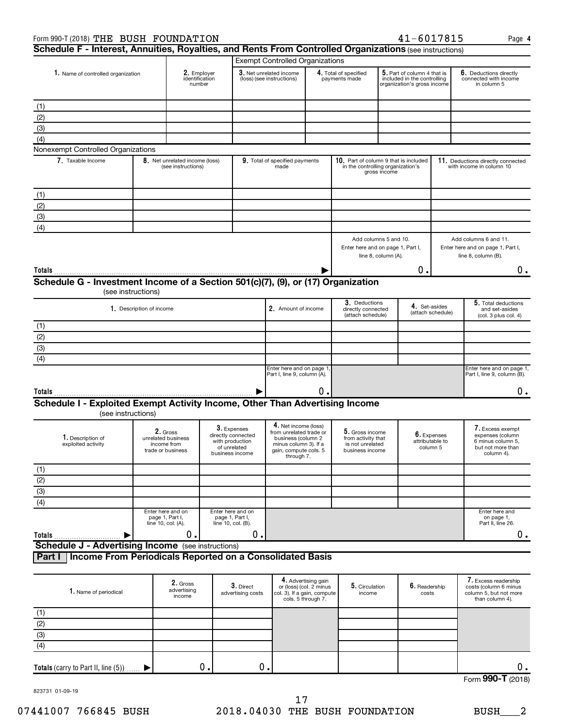| Form 990-T (2018) THE BUSH FOUNDATION                                                                   |                          |                                                                    |                                                                                         |                                |                                                                                                                                       |                                                                      |                                                                                                |                     | $41 - 6017815$                                                                            |                                                               | Page 4                                                                                       |  |  |
|---------------------------------------------------------------------------------------------------------|--------------------------|--------------------------------------------------------------------|-----------------------------------------------------------------------------------------|--------------------------------|---------------------------------------------------------------------------------------------------------------------------------------|----------------------------------------------------------------------|------------------------------------------------------------------------------------------------|---------------------|-------------------------------------------------------------------------------------------|---------------------------------------------------------------|----------------------------------------------------------------------------------------------|--|--|
| Schedule F - Interest, Annuities, Royalties, and Rents From Controlled Organizations (see instructions) |                          |                                                                    |                                                                                         |                                |                                                                                                                                       |                                                                      |                                                                                                |                     |                                                                                           |                                                               |                                                                                              |  |  |
|                                                                                                         |                          |                                                                    |                                                                                         |                                | <b>Exempt Controlled Organizations</b>                                                                                                |                                                                      |                                                                                                |                     |                                                                                           |                                                               |                                                                                              |  |  |
| 1. Name of controlled organization                                                                      |                          | 2. Employer<br>identification<br>number                            |                                                                                         |                                | 3. Net unrelated income<br>(loss) (see instructions)                                                                                  |                                                                      | 4. Total of specified<br>payments made                                                         |                     | 5. Part of column 4 that is<br>included in the controlling<br>organization's gross income |                                                               | 6. Deductions directly<br>connected with income<br>in column 5                               |  |  |
| (1)                                                                                                     |                          |                                                                    |                                                                                         |                                |                                                                                                                                       |                                                                      |                                                                                                |                     |                                                                                           |                                                               |                                                                                              |  |  |
| (2)                                                                                                     |                          |                                                                    |                                                                                         |                                |                                                                                                                                       |                                                                      |                                                                                                |                     |                                                                                           |                                                               |                                                                                              |  |  |
| (3)                                                                                                     |                          |                                                                    |                                                                                         |                                |                                                                                                                                       |                                                                      |                                                                                                |                     |                                                                                           |                                                               |                                                                                              |  |  |
| (4)                                                                                                     |                          |                                                                    |                                                                                         |                                |                                                                                                                                       |                                                                      |                                                                                                |                     |                                                                                           |                                                               |                                                                                              |  |  |
| Nonexempt Controlled Organizations                                                                      |                          |                                                                    |                                                                                         |                                |                                                                                                                                       |                                                                      |                                                                                                |                     |                                                                                           |                                                               |                                                                                              |  |  |
| 7. Taxable Income                                                                                       |                          | 8. Net unrelated income (loss)<br>(see instructions)               |                                                                                         |                                | 9. Total of specified payments<br>made                                                                                                |                                                                      | 10. Part of column 9 that is included<br>in the controlling organization's                     | gross income        |                                                                                           |                                                               | 11. Deductions directly connected<br>with income in column 10                                |  |  |
| (1)                                                                                                     |                          |                                                                    |                                                                                         |                                |                                                                                                                                       |                                                                      |                                                                                                |                     |                                                                                           |                                                               |                                                                                              |  |  |
| (2)                                                                                                     |                          |                                                                    |                                                                                         |                                |                                                                                                                                       |                                                                      |                                                                                                |                     |                                                                                           |                                                               |                                                                                              |  |  |
| (3)                                                                                                     |                          |                                                                    |                                                                                         |                                |                                                                                                                                       |                                                                      |                                                                                                |                     |                                                                                           |                                                               |                                                                                              |  |  |
| (4)                                                                                                     |                          |                                                                    |                                                                                         |                                |                                                                                                                                       |                                                                      |                                                                                                |                     |                                                                                           |                                                               |                                                                                              |  |  |
|                                                                                                         |                          |                                                                    |                                                                                         |                                |                                                                                                                                       |                                                                      | Add columns 5 and 10.<br>Enter here and on page 1, Part I,                                     | line 8, column (A). |                                                                                           |                                                               | Add columns 6 and 11.<br>Enter here and on page 1, Part I,<br>line 8, column (B).            |  |  |
| Totals                                                                                                  |                          |                                                                    |                                                                                         |                                |                                                                                                                                       |                                                                      |                                                                                                |                     | о.                                                                                        |                                                               | $0$ .                                                                                        |  |  |
| Schedule G - Investment Income of a Section 501(c)(7), (9), or (17) Organization                        |                          |                                                                    |                                                                                         |                                |                                                                                                                                       |                                                                      |                                                                                                |                     |                                                                                           |                                                               |                                                                                              |  |  |
|                                                                                                         | (see instructions)       |                                                                    |                                                                                         |                                |                                                                                                                                       |                                                                      |                                                                                                |                     |                                                                                           |                                                               |                                                                                              |  |  |
|                                                                                                         | 1. Description of income |                                                                    |                                                                                         |                                | 2. Amount of income                                                                                                                   |                                                                      | 3. Deductions<br>4. Set-asides<br>directly connected<br>(attach schedule)<br>(attach schedule) |                     |                                                                                           | 5. Total deductions<br>and set-asides<br>(col. 3 plus col. 4) |                                                                                              |  |  |
| (1)                                                                                                     |                          |                                                                    |                                                                                         |                                |                                                                                                                                       |                                                                      |                                                                                                |                     |                                                                                           |                                                               |                                                                                              |  |  |
| (2)                                                                                                     |                          |                                                                    |                                                                                         |                                |                                                                                                                                       |                                                                      |                                                                                                |                     |                                                                                           |                                                               |                                                                                              |  |  |
| $\overline{3}$                                                                                          |                          |                                                                    |                                                                                         |                                |                                                                                                                                       |                                                                      |                                                                                                |                     |                                                                                           |                                                               |                                                                                              |  |  |
| (4)                                                                                                     |                          |                                                                    |                                                                                         |                                |                                                                                                                                       |                                                                      |                                                                                                |                     |                                                                                           |                                                               |                                                                                              |  |  |
|                                                                                                         |                          |                                                                    |                                                                                         |                                | Enter here and on page 1,<br>Part I, line 9, column (A).                                                                              |                                                                      |                                                                                                |                     |                                                                                           |                                                               | Enter here and on page 1,<br>Part I, line 9, column (B).                                     |  |  |
| Totals                                                                                                  |                          |                                                                    |                                                                                         |                                |                                                                                                                                       | о.                                                                   |                                                                                                |                     |                                                                                           |                                                               | 0.                                                                                           |  |  |
| Schedule I - Exploited Exempt Activity Income, Other Than Advertising Income<br>(see instructions)      |                          |                                                                    |                                                                                         |                                |                                                                                                                                       |                                                                      |                                                                                                |                     |                                                                                           |                                                               |                                                                                              |  |  |
| 1. Description of<br>exploited activity                                                                 |                          | 2. Gross<br>unrelated business<br>income from<br>trade or business | 3. Expenses<br>directly connected<br>with production<br>of unrelated<br>business income |                                | 4. Net income (loss)<br>from unrelated trade or<br>business (column 2<br>minus column 3). If a<br>gain, compute cols. 5<br>through 7. |                                                                      | 5. Gross income<br>from activity that<br>is not unrelated<br>business income                   |                     | 6. Expenses<br>attributable to<br>column 5                                                |                                                               | I. Excess exempt<br>expenses (column<br>6 minus column 5,<br>but not more than<br>column 4). |  |  |
| (1)                                                                                                     |                          |                                                                    |                                                                                         |                                |                                                                                                                                       |                                                                      |                                                                                                |                     |                                                                                           |                                                               |                                                                                              |  |  |
|                                                                                                         |                          |                                                                    |                                                                                         |                                |                                                                                                                                       |                                                                      |                                                                                                |                     |                                                                                           |                                                               |                                                                                              |  |  |
| $\frac{(2)}{(3)}$                                                                                       |                          |                                                                    |                                                                                         |                                |                                                                                                                                       |                                                                      |                                                                                                |                     |                                                                                           |                                                               |                                                                                              |  |  |
| $\overline{(4)}$                                                                                        |                          |                                                                    |                                                                                         |                                |                                                                                                                                       |                                                                      |                                                                                                |                     |                                                                                           |                                                               |                                                                                              |  |  |
|                                                                                                         |                          | Enter here and on<br>page 1, Part I,<br>line 10, col. (A).         | Enter here and on<br>page 1, Part I,<br>line 10, col. (B).                              |                                |                                                                                                                                       |                                                                      |                                                                                                |                     |                                                                                           |                                                               | Enter here and<br>on page 1,<br>Part II, line 26.                                            |  |  |
| Totals                                                                                                  |                          | 0.                                                                 |                                                                                         | 0.                             |                                                                                                                                       |                                                                      |                                                                                                |                     |                                                                                           |                                                               | $0$ .                                                                                        |  |  |
| <b>Schedule J - Advertising Income</b> (see instructions)                                               |                          |                                                                    |                                                                                         |                                |                                                                                                                                       |                                                                      |                                                                                                |                     |                                                                                           |                                                               |                                                                                              |  |  |
| Income From Periodicals Reported on a Consolidated Basis<br>Part I                                      |                          |                                                                    |                                                                                         |                                |                                                                                                                                       |                                                                      |                                                                                                |                     |                                                                                           |                                                               |                                                                                              |  |  |
| 1. Name of periodical                                                                                   |                          | 2. Gross<br>advertising<br>income                                  |                                                                                         | 3. Direct<br>advertising costs | col. 3). If a gain, compute                                                                                                           | 4. Advertising gain<br>or (loss) (col. 2 minus<br>cols. 5 through 7. | 5. Circulation<br>income                                                                       |                     | 6. Readership<br>costs                                                                    |                                                               | 7. Excess readership<br>costs (column 6 minus<br>column 5, but not more<br>than column 4).   |  |  |
| (1)                                                                                                     |                          |                                                                    |                                                                                         |                                |                                                                                                                                       |                                                                      |                                                                                                |                     |                                                                                           |                                                               |                                                                                              |  |  |
| $\overline{(2)}$                                                                                        |                          |                                                                    |                                                                                         |                                |                                                                                                                                       |                                                                      |                                                                                                |                     |                                                                                           |                                                               |                                                                                              |  |  |
| $\overline{(3)}$                                                                                        |                          |                                                                    |                                                                                         |                                |                                                                                                                                       |                                                                      |                                                                                                |                     |                                                                                           |                                                               |                                                                                              |  |  |
| $\overline{(4)}$                                                                                        |                          |                                                                    |                                                                                         |                                |                                                                                                                                       |                                                                      |                                                                                                |                     |                                                                                           |                                                               |                                                                                              |  |  |

Form (2018) **990-T** 0. 0. 0. 0.

823731 01-09-19

**Totals** (carry to Part II, line  $(5)$ )  $\ldots$ .

 $\blacktriangleright$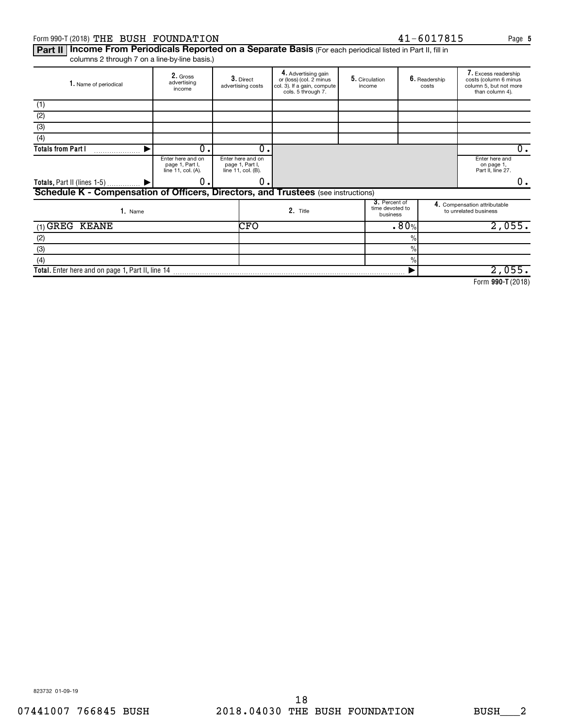## Form 990-T (2018) Page THE BUSH FOUNDATION 41-6017815

 $6.$  Readership costs

Part II | Income From Periodicals Reported on a Separate Basis (For each periodical listed in Part II, fill in columns 2 through 7 on a line-by-line basis.)

**2.** Gross<br>advertising<br>income 3. Direct advertising costs Advertising gain or (loss) (col. 2 minus col. 3). If a gain, compute cols. 5 through 7. 5. Circulation income 1. Name of periodical **2.** Gross **2. 3.** Direct **4.** Advertising gain **5.** Circulation **6.** Readership **3.** Direct or (loss) (col. 2 minus **5.** Circulation **6.** Readership cost (1)

| (1)                                                                               |                                                            |                                                            |          |                                              |          |                                                       |  |
|-----------------------------------------------------------------------------------|------------------------------------------------------------|------------------------------------------------------------|----------|----------------------------------------------|----------|-------------------------------------------------------|--|
| (2)                                                                               |                                                            |                                                            |          |                                              |          |                                                       |  |
| (3)                                                                               |                                                            |                                                            |          |                                              |          |                                                       |  |
| (4)                                                                               |                                                            |                                                            |          |                                              |          |                                                       |  |
| <b>Totals from Part I</b>                                                         | 0.                                                         | 0.                                                         |          |                                              |          | υ.                                                    |  |
|                                                                                   | Enter here and on<br>page 1, Part I,<br>line 11, col. (A). | Enter here and on<br>page 1, Part I,<br>line 11, col. (B). |          |                                              |          | Enter here and<br>on page 1,<br>Part II, line 27.     |  |
| Totals, Part II (lines 1-5)  ▶                                                    | 0.                                                         | о.                                                         |          |                                              |          | υ.                                                    |  |
| Schedule K - Compensation of Officers, Directors, and Trustees (see instructions) |                                                            |                                                            |          |                                              |          |                                                       |  |
| 1. Name                                                                           |                                                            |                                                            | 2. Title | 3. Percent of<br>time devoted to<br>business |          | 4. Compensation attributable<br>to unrelated business |  |
| $(1)$ GREG KEANE                                                                  |                                                            | <b>CFO</b>                                                 |          |                                              | .80%     | 2,055.                                                |  |
| (2)                                                                               |                                                            |                                                            |          |                                              | $\Omega$ |                                                       |  |
| (3)                                                                               |                                                            |                                                            |          |                                              | $\%$     |                                                       |  |
| (4)                                                                               |                                                            |                                                            |          |                                              | $\%$     |                                                       |  |
| Total. Enter here and on page 1, Part II, line 14                                 |                                                            |                                                            |          |                                              |          | 2,055.                                                |  |
|                                                                                   |                                                            |                                                            |          |                                              |          |                                                       |  |

**990-T**  Form (2018)

823732 01-09-19

7. Excess readership costs (column 6 minus column 5, but not more than column 4).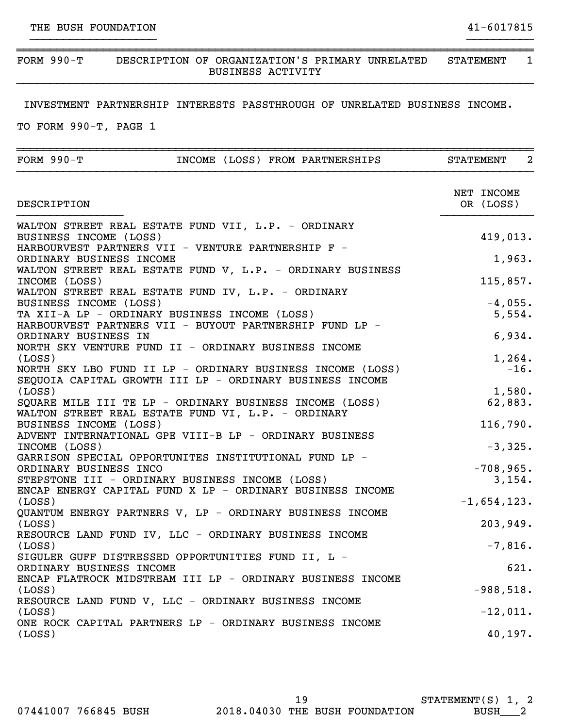## ~~~~~~~~~~~~~~~~~~~~~~~~~~~~~~~~~~~~~~~~~~~~~~~~~~~~~~~~~~~~~~~~~~~~~~~~~~~~~~ FORM 990-T DESCRIPTION OF ORGANIZATION'S PRIMARY UNRELATED STATEMENT 1 BUSINESS ACTIVITY }}}}}}}}}}}}}}}}}}}}}}}}}}}}}}}}}}}}}}}}}}}}}}}}}}}}}}}}}}}}}}}}}}}}}}}}}}}}}}

}}}}}}}}}}}}}}}}}}} }}}}}}}}}}

## INVESTMENT PARTNERSHIP INTERESTS PASSTHROUGH OF UNRELATED BUSINESS INCOME.

TO FORM 990-T, PAGE 1

| FORM 990-T<br>INCOME (LOSS) FROM PARTNERSHIPS                                                                                                                                                                                                                                                                                                                                                                                              | $\overline{a}$<br><b>STATEMENT</b>                    |
|--------------------------------------------------------------------------------------------------------------------------------------------------------------------------------------------------------------------------------------------------------------------------------------------------------------------------------------------------------------------------------------------------------------------------------------------|-------------------------------------------------------|
| DESCRIPTION                                                                                                                                                                                                                                                                                                                                                                                                                                | NET INCOME<br>OR (LOSS)                               |
| WALTON STREET REAL ESTATE FUND VII, L.P. - ORDINARY<br>BUSINESS INCOME (LOSS)<br>HARBOURVEST PARTNERS VII - VENTURE PARTNERSHIP F -<br>ORDINARY BUSINESS INCOME<br>WALTON STREET REAL ESTATE FUND V, L.P. - ORDINARY BUSINESS<br>INCOME (LOSS)<br>WALTON STREET REAL ESTATE FUND IV, L.P. - ORDINARY<br>BUSINESS INCOME (LOSS)<br>TA XII-A LP - ORDINARY BUSINESS INCOME (LOSS)<br>HARBOURVEST PARTNERS VII - BUYOUT PARTNERSHIP FUND LP - | 419,013.<br>1,963.<br>115,857.<br>$-4,055.$<br>5,554. |
| ORDINARY BUSINESS IN<br>NORTH SKY VENTURE FUND II - ORDINARY BUSINESS INCOME<br>(LOSS)<br>NORTH SKY LBO FUND II LP - ORDINARY BUSINESS INCOME (LOSS)<br>SEQUOIA CAPITAL GROWTH III LP - ORDINARY BUSINESS INCOME<br>(LOSS)                                                                                                                                                                                                                 | 6,934.<br>1,264.<br>$-16.$<br>1,580.                  |
| SQUARE MILE III TE LP - ORDINARY BUSINESS INCOME (LOSS)<br>WALTON STREET REAL ESTATE FUND VI, L.P. - ORDINARY<br>BUSINESS INCOME (LOSS)<br>ADVENT INTERNATIONAL GPE VIII-B LP - ORDINARY BUSINESS<br>INCOME (LOSS)<br>GARRISON SPECIAL OPPORTUNITES INSTITUTIONAL FUND LP -                                                                                                                                                                | 62,883.<br>116,790.<br>$-3,325.$                      |
| ORDINARY BUSINESS INCO<br>STEPSTONE III - ORDINARY BUSINESS INCOME (LOSS)<br>ENCAP ENERGY CAPITAL FUND X LP - ORDINARY BUSINESS INCOME<br>(LOSS)<br>QUANTUM ENERGY PARTNERS V, LP - ORDINARY BUSINESS INCOME                                                                                                                                                                                                                               | $-708,965.$<br>3,154.<br>$-1,654,123.$                |
| (LOSS)<br>RESOURCE LAND FUND IV, LLC - ORDINARY BUSINESS INCOME<br>(LOSS)<br>SIGULER GUFF DISTRESSED OPPORTUNITIES FUND II, L -<br>ORDINARY BUSINESS INCOME<br>ENCAP FLATROCK MIDSTREAM III LP - ORDINARY BUSINESS INCOME                                                                                                                                                                                                                  | 203,949.<br>$-7,816.$<br>621.                         |
| (LOSS)<br>RESOURCE LAND FUND V, LLC - ORDINARY BUSINESS INCOME<br>(LOSS)<br>ONE ROCK CAPITAL PARTNERS LP - ORDINARY BUSINESS INCOME<br>(Loss)                                                                                                                                                                                                                                                                                              | $-988,518.$<br>$-12,011.$<br>40,197.                  |